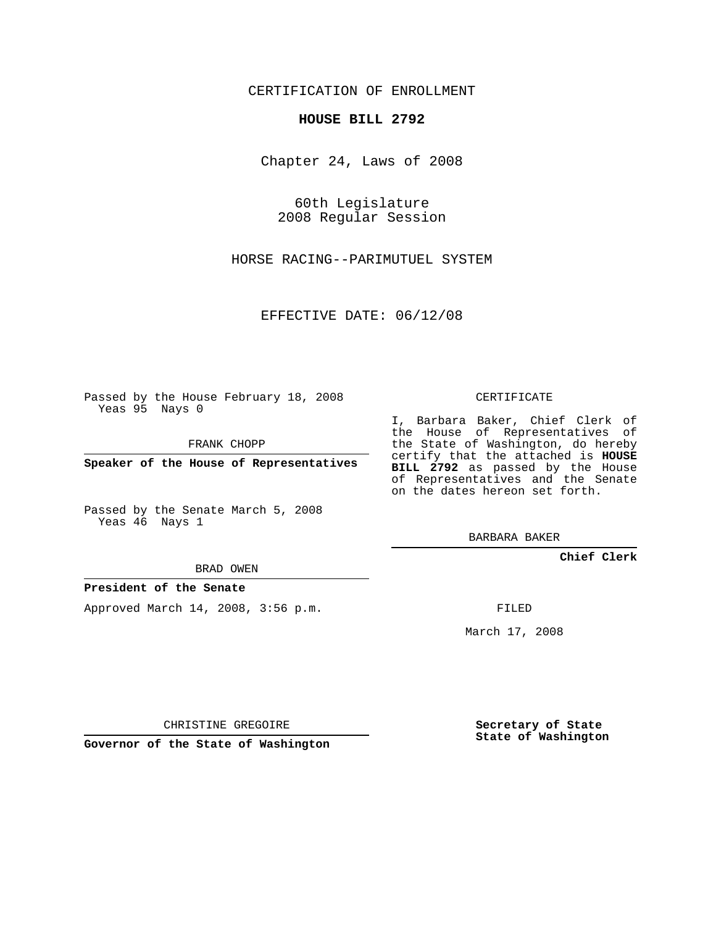CERTIFICATION OF ENROLLMENT

## **HOUSE BILL 2792**

Chapter 24, Laws of 2008

60th Legislature 2008 Regular Session

HORSE RACING--PARIMUTUEL SYSTEM

EFFECTIVE DATE: 06/12/08

Passed by the House February 18, 2008 Yeas 95 Nays 0

FRANK CHOPP

**Speaker of the House of Representatives**

Passed by the Senate March 5, 2008 Yeas 46 Nays 1

BRAD OWEN

## **President of the Senate**

Approved March 14, 2008, 3:56 p.m.

CERTIFICATE

I, Barbara Baker, Chief Clerk of the House of Representatives of the State of Washington, do hereby certify that the attached is **HOUSE BILL 2792** as passed by the House of Representatives and the Senate on the dates hereon set forth.

BARBARA BAKER

**Chief Clerk**

FILED

March 17, 2008

CHRISTINE GREGOIRE

**Governor of the State of Washington**

**Secretary of State State of Washington**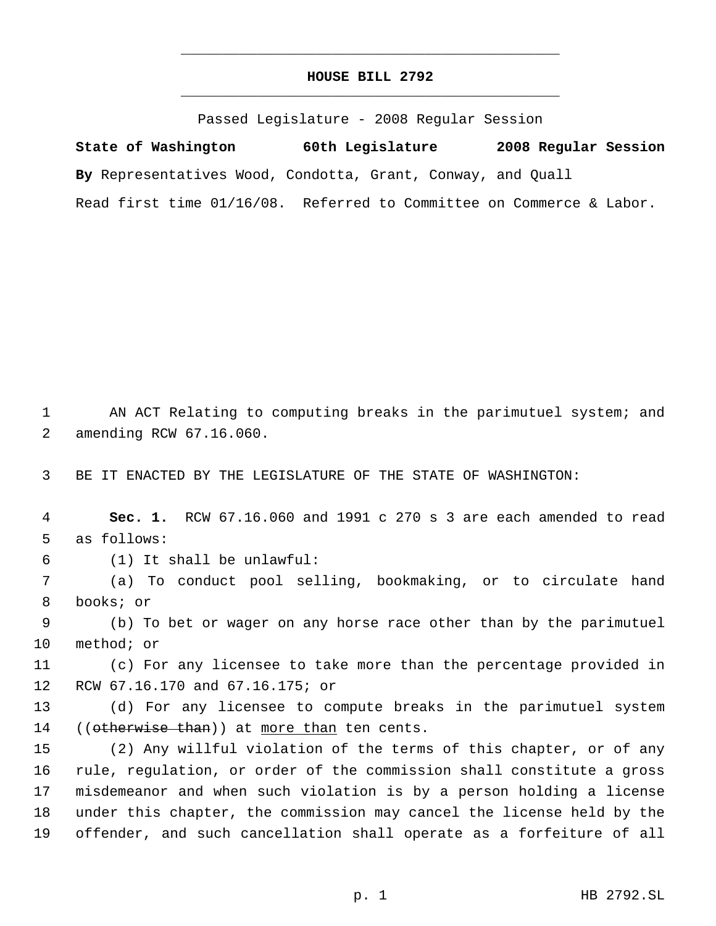## **HOUSE BILL 2792** \_\_\_\_\_\_\_\_\_\_\_\_\_\_\_\_\_\_\_\_\_\_\_\_\_\_\_\_\_\_\_\_\_\_\_\_\_\_\_\_\_\_\_\_\_

\_\_\_\_\_\_\_\_\_\_\_\_\_\_\_\_\_\_\_\_\_\_\_\_\_\_\_\_\_\_\_\_\_\_\_\_\_\_\_\_\_\_\_\_\_

Passed Legislature - 2008 Regular Session

**State of Washington 60th Legislature 2008 Regular Session By** Representatives Wood, Condotta, Grant, Conway, and Quall Read first time 01/16/08. Referred to Committee on Commerce & Labor.

1 AN ACT Relating to computing breaks in the parimutuel system; and amending RCW 67.16.060.

BE IT ENACTED BY THE LEGISLATURE OF THE STATE OF WASHINGTON:

 **Sec. 1.** RCW 67.16.060 and 1991 c 270 s 3 are each amended to read as follows:

(1) It shall be unlawful:

 (a) To conduct pool selling, bookmaking, or to circulate hand books; or

 (b) To bet or wager on any horse race other than by the parimutuel method; or

 (c) For any licensee to take more than the percentage provided in RCW 67.16.170 and 67.16.175; or

 (d) For any licensee to compute breaks in the parimutuel system 14 ((otherwise than)) at more than ten cents.

 (2) Any willful violation of the terms of this chapter, or of any rule, regulation, or order of the commission shall constitute a gross misdemeanor and when such violation is by a person holding a license under this chapter, the commission may cancel the license held by the offender, and such cancellation shall operate as a forfeiture of all